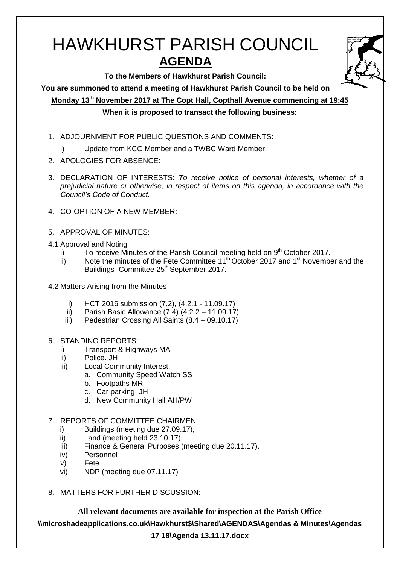# HAWKHURST PARISH COUNCIL **AGENDA**

**To the Members of Hawkhurst Parish Council:**

**You are summoned to attend a meeting of Hawkhurst Parish Council to be held on**

**Monday 13th November 2017 at The Copt Hall, Copthall Avenue commencing at 19:45**

## **When it is proposed to transact the following business:**

- 1. ADJOURNMENT FOR PUBLIC QUESTIONS AND COMMENTS:
	- i) Update from KCC Member and a TWBC Ward Member
- 2. APOLOGIES FOR ABSENCE:
- 3. DECLARATION OF INTERESTS: *To receive notice of personal interests, whether of a prejudicial nature or otherwise, in respect of items on this agenda, in accordance with the Council's Code of Conduct.*
- 4. CO-OPTION OF A NEW MEMBER:
- 5. APPROVAL OF MINUTES:
- 4.1 Approval and Noting
	- i) To receive Minutes of the Parish Council meeting held on  $9<sup>th</sup>$  October 2017.
	- ii) Note the minutes of the Fete Committee  $11<sup>th</sup>$  October 2017 and  $1<sup>st</sup>$  November and the Buildings Committee 25<sup>th</sup> September 2017.
- 4.2 Matters Arising from the Minutes
	- i) HCT 2016 submission (7.2), (4.2.1 11.09.17)
	- ii) Parish Basic Allowance  $(7.4)$   $(4.2.2 11.09.17)$
	- iii) Pedestrian Crossing All Saints (8.4 09.10.17)
- 6. STANDING REPORTS:
	- i) Transport & Highways MA
	- ii) Police. JH
	- iii) Local Community Interest.
		- a. Community Speed Watch SS
		- b. Footpaths MR
		- c. Car parking JH
		- d. New Community Hall AH/PW
- 7. REPORTS OF COMMITTEE CHAIRMEN:
	- i) Buildings (meeting due 27.09.17),
	- ii) Land (meeting held 23.10.17).
	- iii) Finance & General Purposes (meeting due 20.11.17).
	- iv) Personnel
	- v) Fete
	- vi) NDP (meeting due 07.11.17)
- 8. MATTERS FOR FURTHER DISCUSSION:

**All relevant documents are available for inspection at the Parish Office \\microshadeapplications.co.uk\Hawkhurst\$\Shared\AGENDAS\Agendas & Minutes\Agendas** 

## **17 18\Agenda 13.11.17.docx**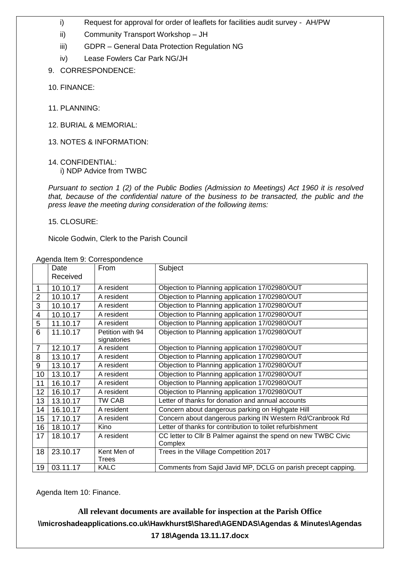- i) Request for approval for order of leaflets for facilities audit survey AH/PW
- ii) Community Transport Workshop JH
- iii) GDPR General Data Protection Regulation NG
- iv) Lease Fowlers Car Park NG/JH
- 9. CORRESPONDENCE:
- 10. FINANCE:
- 11. PLANNING:
- 12. BURIAL & MEMORIAL:
- 13. NOTES & INFORMATION:
- 14. CONFIDENTIAL: i) NDP Advice from TWBC

*Pursuant to section 1 (2) of the Public Bodies (Admission to Meetings) Act 1960 it is resolved that, because of the confidential nature of the business to be transacted, the public and the press leave the meeting during consideration of the following items:*

15. CLOSURE:

Nicole Godwin, Clerk to the Parish Council

|                | Date<br>Received | Agonaa itom 9. Oontosponachoo<br>From | Subject                                                                   |
|----------------|------------------|---------------------------------------|---------------------------------------------------------------------------|
|                |                  |                                       |                                                                           |
| 1              | 10.10.17         | A resident                            | Objection to Planning application 17/02980/OUT                            |
| $\overline{2}$ | 10.10.17         | A resident                            | Objection to Planning application 17/02980/OUT                            |
| 3              | 10.10.17         | A resident                            | Objection to Planning application 17/02980/OUT                            |
| 4              | 10.10.17         | A resident                            | Objection to Planning application 17/02980/OUT                            |
| 5              | 11.10.17         | A resident                            | Objection to Planning application 17/02980/OUT                            |
| 6              | 11.10.17         | Petition with 94<br>signatories       | Objection to Planning application 17/02980/OUT                            |
| $\overline{7}$ | 12.10.17         | A resident                            | Objection to Planning application 17/02980/OUT                            |
| 8              | 13.10.17         | A resident                            | Objection to Planning application 17/02980/OUT                            |
| 9              | 13.10.17         | A resident                            | Objection to Planning application 17/02980/OUT                            |
| 10             | 13.10.17         | A resident                            | Objection to Planning application 17/02980/OUT                            |
| 11             | 16.10.17         | A resident                            | Objection to Planning application 17/02980/OUT                            |
| 12             | 16.10.17         | A resident                            | Objection to Planning application 17/02980/OUT                            |
| 13             | 13.10.17         | TW CAB                                | Letter of thanks for donation and annual accounts                         |
| 14             | 16.10.17         | A resident                            | Concern about dangerous parking on Highgate Hill                          |
| 15             | 17.10.17         | A resident                            | Concern about dangerous parking IN Western Rd/Cranbrook Rd                |
| 16             | 18.10.17         | Kino                                  | Letter of thanks for contribution to toilet refurbishment                 |
| 17             | 18.10.17         | A resident                            | CC letter to Cllr B Palmer against the spend on new TWBC Civic<br>Complex |
| 18             | 23.10.17         | Kent Men of<br><b>Trees</b>           | Trees in the Village Competition 2017                                     |
| 19             | 03.11.17         | <b>KALC</b>                           | Comments from Sajid Javid MP, DCLG on parish precept capping.             |

Agenda Item 9: Correspondence

Agenda Item 10: Finance.

# **All relevant documents are available for inspection at the Parish Office \\microshadeapplications.co.uk\Hawkhurst\$\Shared\AGENDAS\Agendas & Minutes\Agendas 17 18\Agenda 13.11.17.docx**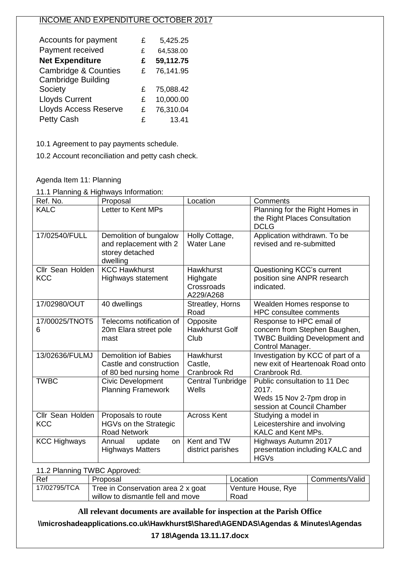## INCOME AND EXPENDITURE OCTOBER 2017

| Accounts for payment            | £ | 5,425.25  |
|---------------------------------|---|-----------|
| Payment received                | £ | 64,538.00 |
| <b>Net Expenditure</b>          | £ | 59,112.75 |
| <b>Cambridge &amp; Counties</b> | £ | 76,141.95 |
| <b>Cambridge Building</b>       |   |           |
| Society                         | £ | 75,088.42 |
| <b>Lloyds Current</b>           | £ | 10,000.00 |
| <b>Lloyds Access Reserve</b>    | £ | 76,310.04 |
| <b>Petty Cash</b>               | £ | 13.41     |

10.1 Agreement to pay payments schedule.

10.2 Account reconciliation and petty cash check.

Agenda Item 11: Planning

11.1 Planning & Highways Information:

| Ref. No.                       | Proposal                                                                          | Location                                                | Comments                                                                                                              |
|--------------------------------|-----------------------------------------------------------------------------------|---------------------------------------------------------|-----------------------------------------------------------------------------------------------------------------------|
| <b>KALC</b>                    | Letter to Kent MPs                                                                |                                                         | Planning for the Right Homes in<br>the Right Places Consultation<br><b>DCLG</b>                                       |
| 17/02540/FULL                  | Demolition of bungalow<br>and replacement with 2<br>storey detached<br>dwelling   | Holly Cottage,<br><b>Water Lane</b>                     | Application withdrawn. To be<br>revised and re-submitted                                                              |
| Cllr Sean Holden<br><b>KCC</b> | <b>KCC Hawkhurst</b><br>Highways statement                                        | <b>Hawkhurst</b><br>Highgate<br>Crossroads<br>A229/A268 | Questioning KCC's current<br>position sine ANPR research<br>indicated.                                                |
| 17/02980/OUT                   | 40 dwellings                                                                      | Streatley, Horns<br>Road                                | Wealden Homes response to<br><b>HPC consultee comments</b>                                                            |
| 17/00025/TNOT5<br>6            | Telecoms notification of<br>20m Elara street pole<br>mast                         | Opposite<br><b>Hawkhurst Golf</b><br>Club               | Response to HPC email of<br>concern from Stephen Baughen,<br><b>TWBC Building Development and</b><br>Control Manager. |
| 13/02636/FULMJ                 | <b>Demolition iof Babies</b><br>Castle and construction<br>of 80 bed nursing home | Hawkhurst<br>Castle,<br>Cranbrook Rd                    | Investigation by KCC of part of a<br>new exit of Heartenoak Road onto<br>Cranbrook Rd.                                |
| <b>TWBC</b>                    | Civic Development<br><b>Planning Framework</b>                                    | <b>Central Tunbridge</b><br>Wells                       | Public consultation to 11 Dec<br>2017.<br>Weds 15 Nov 2-7pm drop in<br>session at Council Chamber                     |
| Cllr Sean Holden<br><b>KCC</b> | Proposals to route<br>HGVs on the Strategic<br><b>Road Network</b>                | <b>Across Kent</b>                                      | Studying a model in<br>Leicestershire and involving<br><b>KALC and Kent MPs.</b>                                      |
| <b>KCC Highways</b>            | Annual<br>update<br>on<br><b>Highways Matters</b>                                 | Kent and TW<br>district parishes                        | Highways Autumn 2017<br>presentation including KALC and<br><b>HGVs</b>                                                |

| 11.2 Planning TWBC Approved: |                                                                         |                            |                |  |
|------------------------------|-------------------------------------------------------------------------|----------------------------|----------------|--|
| Ref                          | Proposal                                                                | Location                   | Comments/Valid |  |
| 17/02795/TCA                 | Tree in Conservation area 2 x goat<br>willow to dismantle fell and move | Venture House, Rye<br>Road |                |  |

**All relevant documents are available for inspection at the Parish Office**

**\\microshadeapplications.co.uk\Hawkhurst\$\Shared\AGENDAS\Agendas & Minutes\Agendas** 

### **17 18\Agenda 13.11.17.docx**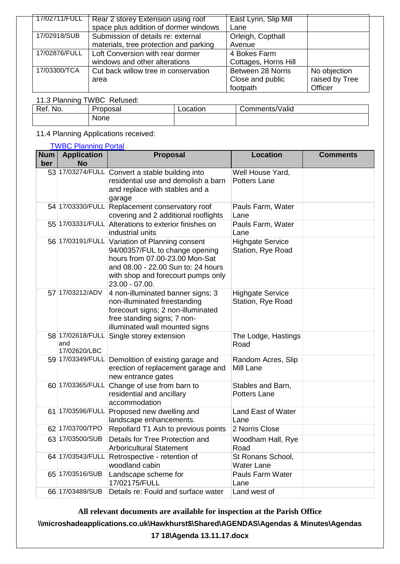| 17/02711/FULL | Rear 2 storey Extension using roof     | East Lynn, Slip Mill |                |
|---------------|----------------------------------------|----------------------|----------------|
|               | space plus addition of dormer windows  | Lane                 |                |
| 17/02918/SUB  | Submission of details re: external     | Orleigh, Copthall    |                |
|               | materials, tree protection and parking | Avenue               |                |
| 17/02876/FULL | Loft Conversion with rear dormer       | 4 Bokes Farm         |                |
|               | windows and other alterations          | Cottages, Horns Hill |                |
| 17/03300/TCA  | Cut back willow tree in conservation   | Between 28 Norris    | No objection   |
|               | area                                   | Close and public     | raised by Tree |
|               |                                        | footpath             | Officer        |

## 11.3 Planning TWBC Refused:

| No.<br>Ref. | Proposal | ocation | Comments/Valid |
|-------------|----------|---------|----------------|
|             | None     |         |                |

## 11.4 Planning Applications received:

#### [TWBC Planning Portal](http://www.tunbridgewells.gov.uk/residents/planning/planning-application-search)

| <b>Num</b> | <b>Application</b>                      | Proposal                                                                                                                                                                                                         | <b>Location</b>                              | <b>Comments</b> |
|------------|-----------------------------------------|------------------------------------------------------------------------------------------------------------------------------------------------------------------------------------------------------------------|----------------------------------------------|-----------------|
| ber        | <b>No</b>                               |                                                                                                                                                                                                                  |                                              |                 |
|            |                                         | 53 17/03274/FULL Convert a stable building into<br>residential use and demolish a barn<br>and replace with stables and a<br>garage                                                                               | Well House Yard,<br><b>Potters Lane</b>      |                 |
|            | 54 17/03330/FULL                        | Replacement conservatory roof<br>covering and 2 additional rooflights                                                                                                                                            | Pauls Farm, Water<br>Lane                    |                 |
|            |                                         | 55 17/03331/FULL Alterations to exterior finishes on<br>industrial units                                                                                                                                         | Pauls Farm, Water<br>Lane                    |                 |
|            |                                         | 56 17/03191/FULL Variation of Planning consent<br>94/00357/FUL to change opening<br>hours from 07.00-23.00 Mon-Sat<br>and 08.00 - 22.00 Sun to: 24 hours<br>with shop and forecourt pumps only<br>23.00 - 07.00. | <b>Highgate Service</b><br>Station, Rye Road |                 |
|            | 57 17/03212/ADV                         | 4 non-illuminated banner signs; 3<br>non-illuminated freestanding<br>forecourt signs; 2 non-illuminated<br>free standing signs; 7 non-<br>illuminated wall mounted signs                                         | <b>Highgate Service</b><br>Station, Rye Road |                 |
|            | 58 17/02618/FULL<br>and<br>17/02620/LBC | Single storey extension                                                                                                                                                                                          | The Lodge, Hastings<br>Road                  |                 |
|            | 59 17/03349/FULL                        | Demolition of existing garage and<br>erection of replacement garage and<br>new entrance gates                                                                                                                    | Random Acres, Slip<br>Mill Lane              |                 |
|            |                                         | 60 17/03365/FULL Change of use from barn to<br>residential and ancillary<br>accommodation                                                                                                                        | Stables and Barn,<br><b>Potters Lane</b>     |                 |
|            | 61 17/03596/FULL                        | Proposed new dwelling and<br>landscape enhancements.                                                                                                                                                             | Land East of Water<br>Lane                   |                 |
|            | 62 17/03700/TPO                         | Repollard T1 Ash to previous points                                                                                                                                                                              | 2 Norris Close                               |                 |
|            | 63 17/03500/SUB                         | Details for Tree Protection and<br><b>Arboricultural Statement</b>                                                                                                                                               | Woodham Hall, Rye<br>Road                    |                 |
|            | 64 17/03543/FULL                        | Retrospective - retention of<br>woodland cabin                                                                                                                                                                   | St Ronans School,<br><b>Water Lane</b>       |                 |
|            | 65 17/03516/SUB                         | Landscape scheme for<br>17/02175/FULL                                                                                                                                                                            | Pauls Farm Water<br>Lane                     |                 |
|            | 66 17/03489/SUB                         | Details re: Fould and surface water                                                                                                                                                                              | Land west of                                 |                 |

**All relevant documents are available for inspection at the Parish Office \\microshadeapplications.co.uk\Hawkhurst\$\Shared\AGENDAS\Agendas & Minutes\Agendas 17 18\Agenda 13.11.17.docx**